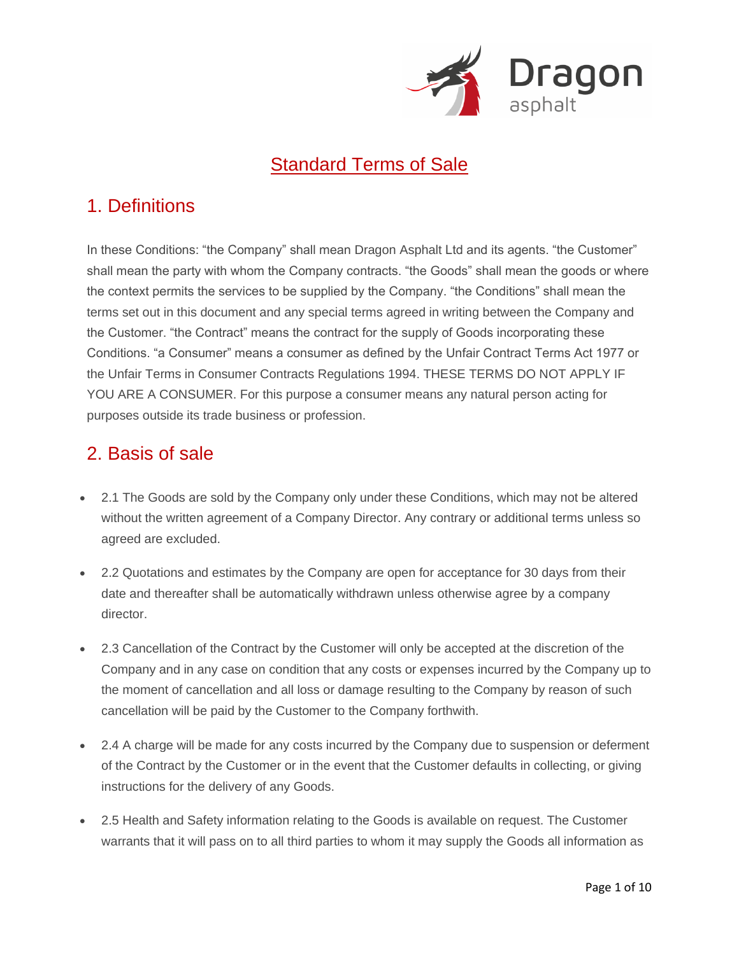

### Standard Terms of Sale

### 1. Definitions

In these Conditions: "the Company" shall mean Dragon Asphalt Ltd and its agents. "the Customer" shall mean the party with whom the Company contracts. "the Goods" shall mean the goods or where the context permits the services to be supplied by the Company. "the Conditions" shall mean the terms set out in this document and any special terms agreed in writing between the Company and the Customer. "the Contract" means the contract for the supply of Goods incorporating these Conditions. "a Consumer" means a consumer as defined by the Unfair Contract Terms Act 1977 or the Unfair Terms in Consumer Contracts Regulations 1994. THESE TERMS DO NOT APPLY IF YOU ARE A CONSUMER. For this purpose a consumer means any natural person acting for purposes outside its trade business or profession.

## 2. Basis of sale

- 2.1 The Goods are sold by the Company only under these Conditions, which may not be altered without the written agreement of a Company Director. Any contrary or additional terms unless so agreed are excluded.
- 2.2 Quotations and estimates by the Company are open for acceptance for 30 days from their date and thereafter shall be automatically withdrawn unless otherwise agree by a company director.
- 2.3 Cancellation of the Contract by the Customer will only be accepted at the discretion of the Company and in any case on condition that any costs or expenses incurred by the Company up to the moment of cancellation and all loss or damage resulting to the Company by reason of such cancellation will be paid by the Customer to the Company forthwith.
- 2.4 A charge will be made for any costs incurred by the Company due to suspension or deferment of the Contract by the Customer or in the event that the Customer defaults in collecting, or giving instructions for the delivery of any Goods.
- 2.5 Health and Safety information relating to the Goods is available on request. The Customer warrants that it will pass on to all third parties to whom it may supply the Goods all information as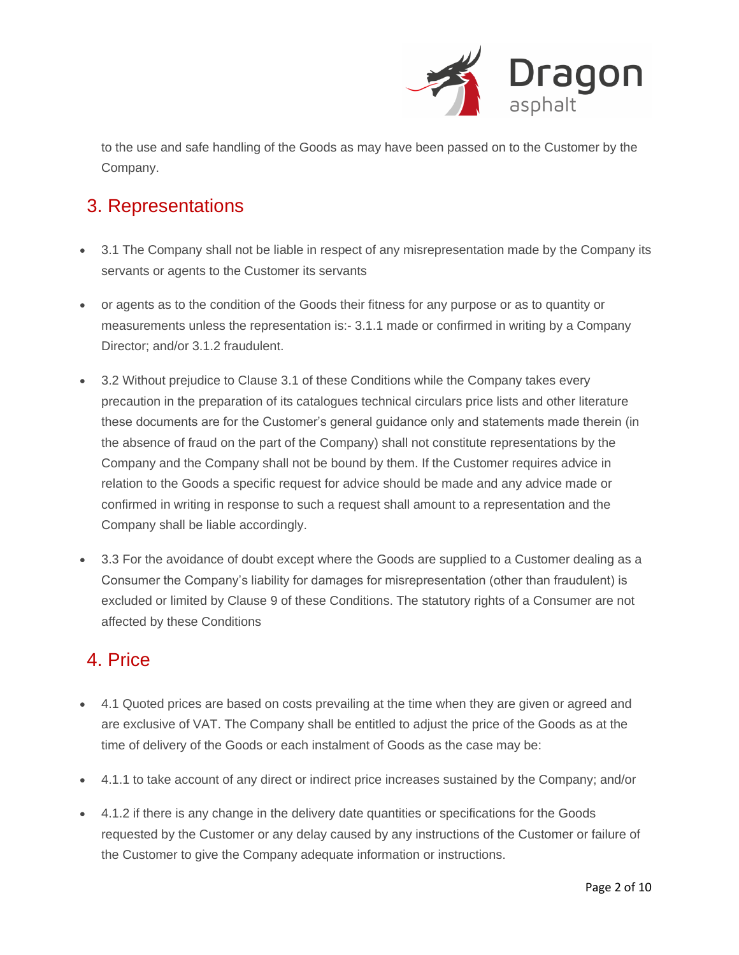

to the use and safe handling of the Goods as may have been passed on to the Customer by the Company.

## 3. Representations

- 3.1 The Company shall not be liable in respect of any misrepresentation made by the Company its servants or agents to the Customer its servants
- or agents as to the condition of the Goods their fitness for any purpose or as to quantity or measurements unless the representation is:- 3.1.1 made or confirmed in writing by a Company Director; and/or 3.1.2 fraudulent.
- 3.2 Without prejudice to Clause 3.1 of these Conditions while the Company takes every precaution in the preparation of its catalogues technical circulars price lists and other literature these documents are for the Customer's general guidance only and statements made therein (in the absence of fraud on the part of the Company) shall not constitute representations by the Company and the Company shall not be bound by them. If the Customer requires advice in relation to the Goods a specific request for advice should be made and any advice made or confirmed in writing in response to such a request shall amount to a representation and the Company shall be liable accordingly.
- 3.3 For the avoidance of doubt except where the Goods are supplied to a Customer dealing as a Consumer the Company's liability for damages for misrepresentation (other than fraudulent) is excluded or limited by Clause 9 of these Conditions. The statutory rights of a Consumer are not affected by these Conditions

## 4. Price

- 4.1 Quoted prices are based on costs prevailing at the time when they are given or agreed and are exclusive of VAT. The Company shall be entitled to adjust the price of the Goods as at the time of delivery of the Goods or each instalment of Goods as the case may be:
- 4.1.1 to take account of any direct or indirect price increases sustained by the Company; and/or
- 4.1.2 if there is any change in the delivery date quantities or specifications for the Goods requested by the Customer or any delay caused by any instructions of the Customer or failure of the Customer to give the Company adequate information or instructions.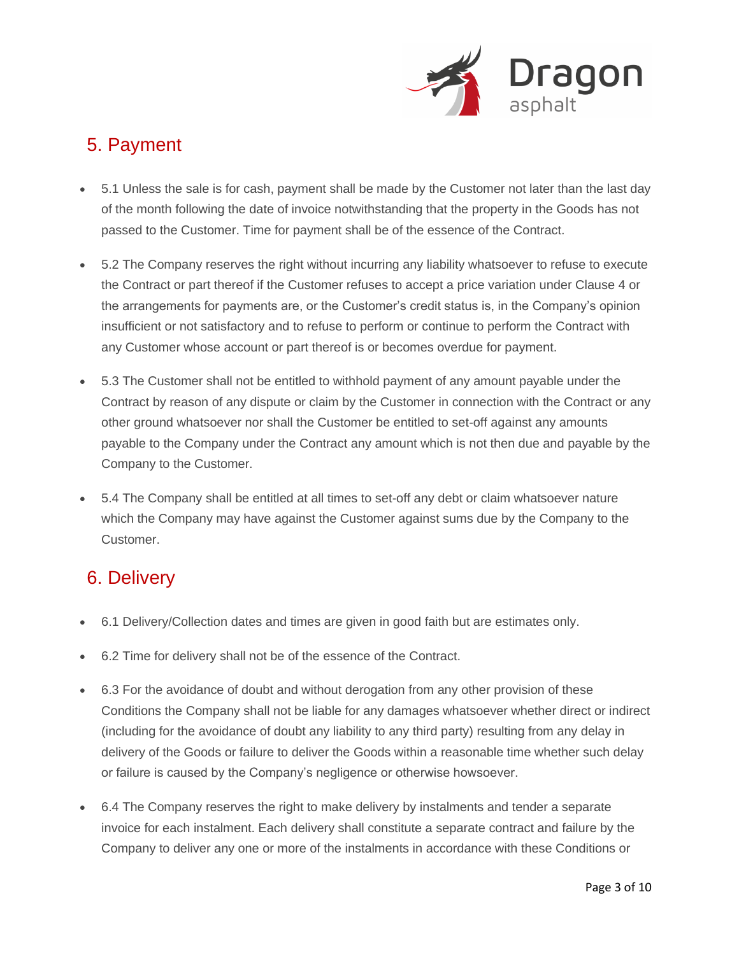

## 5. Payment

- 5.1 Unless the sale is for cash, payment shall be made by the Customer not later than the last day of the month following the date of invoice notwithstanding that the property in the Goods has not passed to the Customer. Time for payment shall be of the essence of the Contract.
- 5.2 The Company reserves the right without incurring any liability whatsoever to refuse to execute the Contract or part thereof if the Customer refuses to accept a price variation under Clause 4 or the arrangements for payments are, or the Customer's credit status is, in the Company's opinion insufficient or not satisfactory and to refuse to perform or continue to perform the Contract with any Customer whose account or part thereof is or becomes overdue for payment.
- 5.3 The Customer shall not be entitled to withhold payment of any amount payable under the Contract by reason of any dispute or claim by the Customer in connection with the Contract or any other ground whatsoever nor shall the Customer be entitled to set-off against any amounts payable to the Company under the Contract any amount which is not then due and payable by the Company to the Customer.
- 5.4 The Company shall be entitled at all times to set-off any debt or claim whatsoever nature which the Company may have against the Customer against sums due by the Company to the Customer.

## 6. Delivery

- 6.1 Delivery/Collection dates and times are given in good faith but are estimates only.
- 6.2 Time for delivery shall not be of the essence of the Contract.
- 6.3 For the avoidance of doubt and without derogation from any other provision of these Conditions the Company shall not be liable for any damages whatsoever whether direct or indirect (including for the avoidance of doubt any liability to any third party) resulting from any delay in delivery of the Goods or failure to deliver the Goods within a reasonable time whether such delay or failure is caused by the Company's negligence or otherwise howsoever.
- 6.4 The Company reserves the right to make delivery by instalments and tender a separate invoice for each instalment. Each delivery shall constitute a separate contract and failure by the Company to deliver any one or more of the instalments in accordance with these Conditions or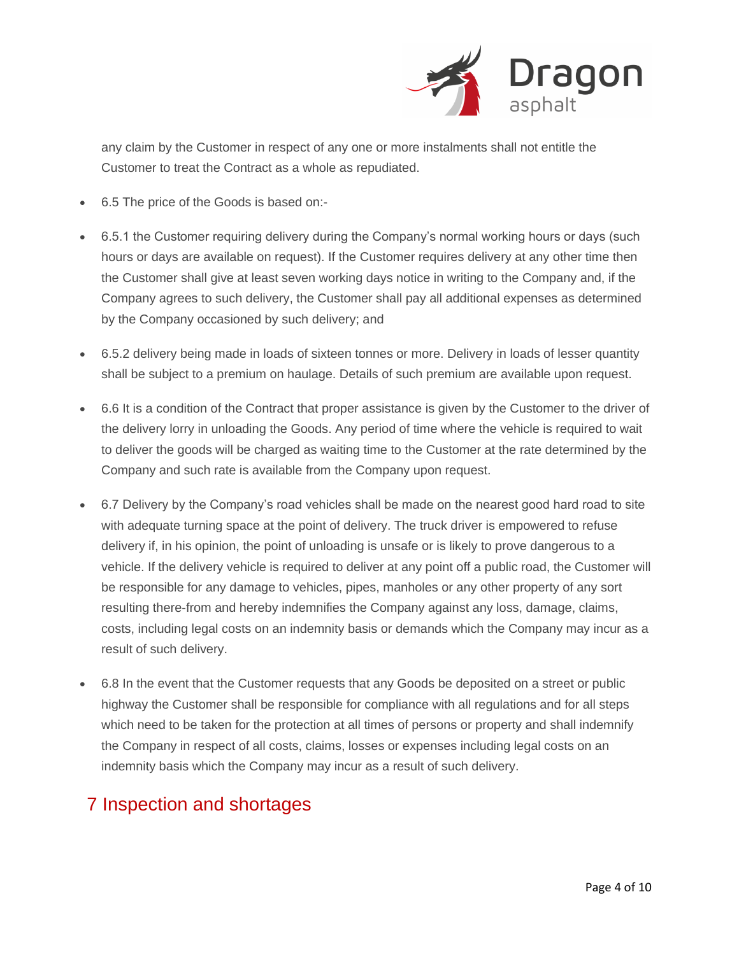

any claim by the Customer in respect of any one or more instalments shall not entitle the Customer to treat the Contract as a whole as repudiated.

- 6.5 The price of the Goods is based on:-
- 6.5.1 the Customer requiring delivery during the Company's normal working hours or days (such hours or days are available on request). If the Customer requires delivery at any other time then the Customer shall give at least seven working days notice in writing to the Company and, if the Company agrees to such delivery, the Customer shall pay all additional expenses as determined by the Company occasioned by such delivery; and
- 6.5.2 delivery being made in loads of sixteen tonnes or more. Delivery in loads of lesser quantity shall be subject to a premium on haulage. Details of such premium are available upon request.
- 6.6 It is a condition of the Contract that proper assistance is given by the Customer to the driver of the delivery lorry in unloading the Goods. Any period of time where the vehicle is required to wait to deliver the goods will be charged as waiting time to the Customer at the rate determined by the Company and such rate is available from the Company upon request.
- 6.7 Delivery by the Company's road vehicles shall be made on the nearest good hard road to site with adequate turning space at the point of delivery. The truck driver is empowered to refuse delivery if, in his opinion, the point of unloading is unsafe or is likely to prove dangerous to a vehicle. If the delivery vehicle is required to deliver at any point off a public road, the Customer will be responsible for any damage to vehicles, pipes, manholes or any other property of any sort resulting there-from and hereby indemnifies the Company against any loss, damage, claims, costs, including legal costs on an indemnity basis or demands which the Company may incur as a result of such delivery.
- 6.8 In the event that the Customer requests that any Goods be deposited on a street or public highway the Customer shall be responsible for compliance with all regulations and for all steps which need to be taken for the protection at all times of persons or property and shall indemnify the Company in respect of all costs, claims, losses or expenses including legal costs on an indemnity basis which the Company may incur as a result of such delivery.

#### 7 Inspection and shortages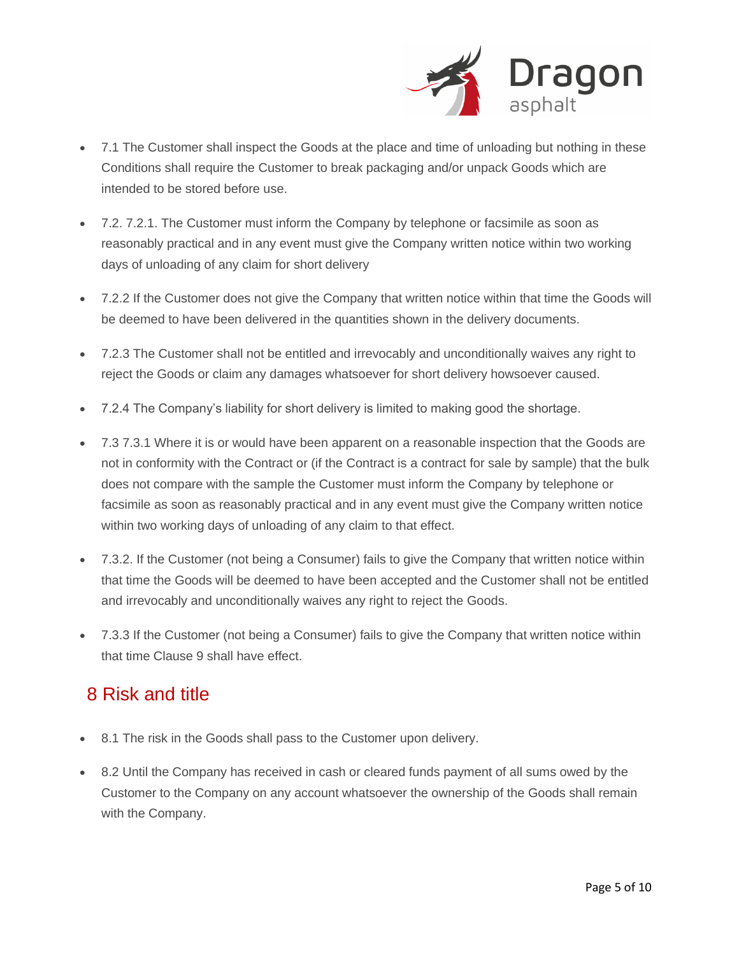

- 7.1 The Customer shall inspect the Goods at the place and time of unloading but nothing in these Conditions shall require the Customer to break packaging and/or unpack Goods which are intended to be stored before use.
- 7.2. 7.2.1. The Customer must inform the Company by telephone or facsimile as soon as reasonably practical and in any event must give the Company written notice within two working days of unloading of any claim for short delivery
- 7.2.2 If the Customer does not give the Company that written notice within that time the Goods will be deemed to have been delivered in the quantities shown in the delivery documents.
- 7.2.3 The Customer shall not be entitled and irrevocably and unconditionally waives any right to reject the Goods or claim any damages whatsoever for short delivery howsoever caused.
- 7.2.4 The Company's liability for short delivery is limited to making good the shortage.
- 7.3 7.3.1 Where it is or would have been apparent on a reasonable inspection that the Goods are not in conformity with the Contract or (if the Contract is a contract for sale by sample) that the bulk does not compare with the sample the Customer must inform the Company by telephone or facsimile as soon as reasonably practical and in any event must give the Company written notice within two working days of unloading of any claim to that effect.
- 7.3.2. If the Customer (not being a Consumer) fails to give the Company that written notice within that time the Goods will be deemed to have been accepted and the Customer shall not be entitled and irrevocably and unconditionally waives any right to reject the Goods.
- 7.3.3 If the Customer (not being a Consumer) fails to give the Company that written notice within that time Clause 9 shall have effect.

#### 8 Risk and title

- 8.1 The risk in the Goods shall pass to the Customer upon delivery.
- 8.2 Until the Company has received in cash or cleared funds payment of all sums owed by the Customer to the Company on any account whatsoever the ownership of the Goods shall remain with the Company.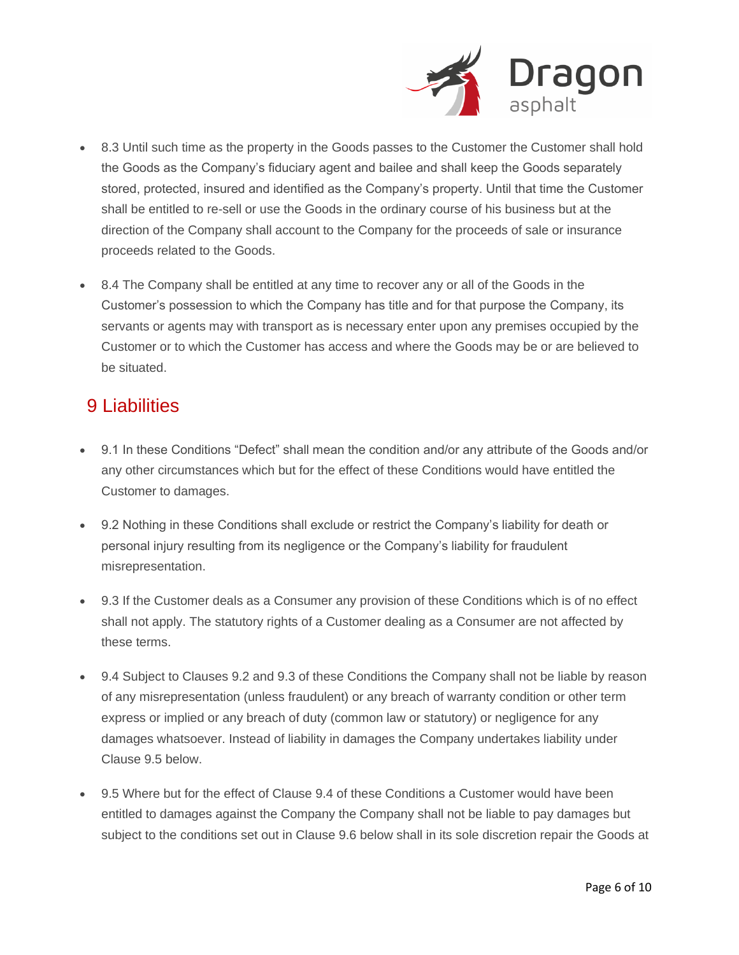

- 8.3 Until such time as the property in the Goods passes to the Customer the Customer shall hold the Goods as the Company's fiduciary agent and bailee and shall keep the Goods separately stored, protected, insured and identified as the Company's property. Until that time the Customer shall be entitled to re-sell or use the Goods in the ordinary course of his business but at the direction of the Company shall account to the Company for the proceeds of sale or insurance proceeds related to the Goods.
- 8.4 The Company shall be entitled at any time to recover any or all of the Goods in the Customer's possession to which the Company has title and for that purpose the Company, its servants or agents may with transport as is necessary enter upon any premises occupied by the Customer or to which the Customer has access and where the Goods may be or are believed to be situated.

#### 9 Liabilities

- 9.1 In these Conditions "Defect" shall mean the condition and/or any attribute of the Goods and/or any other circumstances which but for the effect of these Conditions would have entitled the Customer to damages.
- 9.2 Nothing in these Conditions shall exclude or restrict the Company's liability for death or personal injury resulting from its negligence or the Company's liability for fraudulent misrepresentation.
- 9.3 If the Customer deals as a Consumer any provision of these Conditions which is of no effect shall not apply. The statutory rights of a Customer dealing as a Consumer are not affected by these terms.
- 9.4 Subject to Clauses 9.2 and 9.3 of these Conditions the Company shall not be liable by reason of any misrepresentation (unless fraudulent) or any breach of warranty condition or other term express or implied or any breach of duty (common law or statutory) or negligence for any damages whatsoever. Instead of liability in damages the Company undertakes liability under Clause 9.5 below.
- 9.5 Where but for the effect of Clause 9.4 of these Conditions a Customer would have been entitled to damages against the Company the Company shall not be liable to pay damages but subject to the conditions set out in Clause 9.6 below shall in its sole discretion repair the Goods at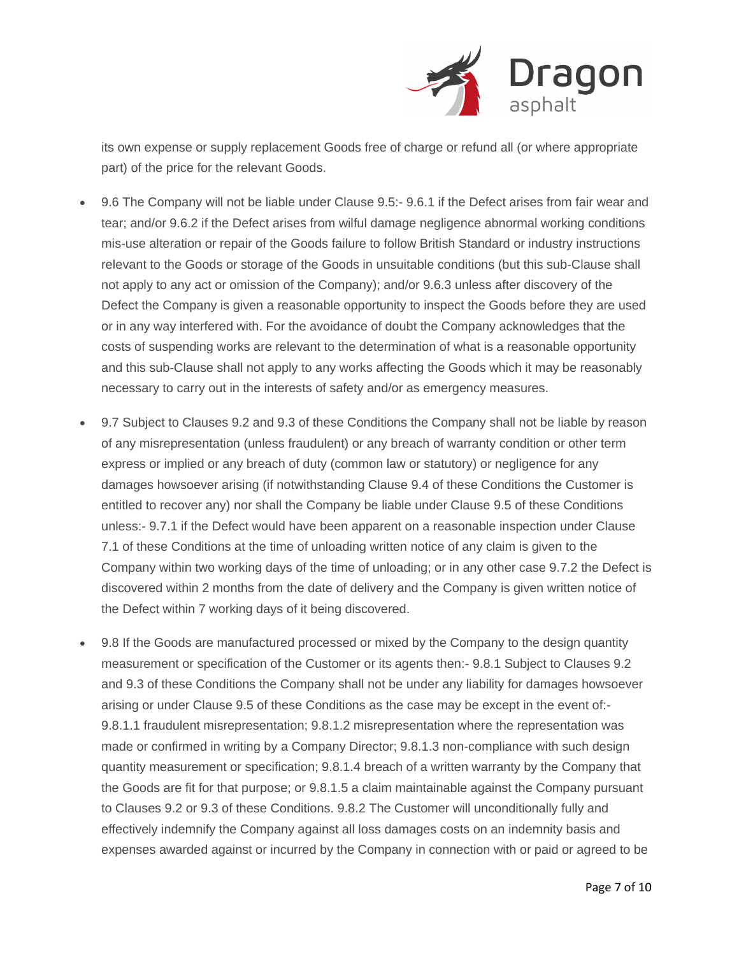

its own expense or supply replacement Goods free of charge or refund all (or where appropriate part) of the price for the relevant Goods.

- 9.6 The Company will not be liable under Clause 9.5:- 9.6.1 if the Defect arises from fair wear and tear; and/or 9.6.2 if the Defect arises from wilful damage negligence abnormal working conditions mis-use alteration or repair of the Goods failure to follow British Standard or industry instructions relevant to the Goods or storage of the Goods in unsuitable conditions (but this sub-Clause shall not apply to any act or omission of the Company); and/or 9.6.3 unless after discovery of the Defect the Company is given a reasonable opportunity to inspect the Goods before they are used or in any way interfered with. For the avoidance of doubt the Company acknowledges that the costs of suspending works are relevant to the determination of what is a reasonable opportunity and this sub-Clause shall not apply to any works affecting the Goods which it may be reasonably necessary to carry out in the interests of safety and/or as emergency measures.
- 9.7 Subject to Clauses 9.2 and 9.3 of these Conditions the Company shall not be liable by reason of any misrepresentation (unless fraudulent) or any breach of warranty condition or other term express or implied or any breach of duty (common law or statutory) or negligence for any damages howsoever arising (if notwithstanding Clause 9.4 of these Conditions the Customer is entitled to recover any) nor shall the Company be liable under Clause 9.5 of these Conditions unless:- 9.7.1 if the Defect would have been apparent on a reasonable inspection under Clause 7.1 of these Conditions at the time of unloading written notice of any claim is given to the Company within two working days of the time of unloading; or in any other case 9.7.2 the Defect is discovered within 2 months from the date of delivery and the Company is given written notice of the Defect within 7 working days of it being discovered.
- 9.8 If the Goods are manufactured processed or mixed by the Company to the design quantity measurement or specification of the Customer or its agents then:- 9.8.1 Subject to Clauses 9.2 and 9.3 of these Conditions the Company shall not be under any liability for damages howsoever arising or under Clause 9.5 of these Conditions as the case may be except in the event of:- 9.8.1.1 fraudulent misrepresentation; 9.8.1.2 misrepresentation where the representation was made or confirmed in writing by a Company Director; 9.8.1.3 non-compliance with such design quantity measurement or specification; 9.8.1.4 breach of a written warranty by the Company that the Goods are fit for that purpose; or 9.8.1.5 a claim maintainable against the Company pursuant to Clauses 9.2 or 9.3 of these Conditions. 9.8.2 The Customer will unconditionally fully and effectively indemnify the Company against all loss damages costs on an indemnity basis and expenses awarded against or incurred by the Company in connection with or paid or agreed to be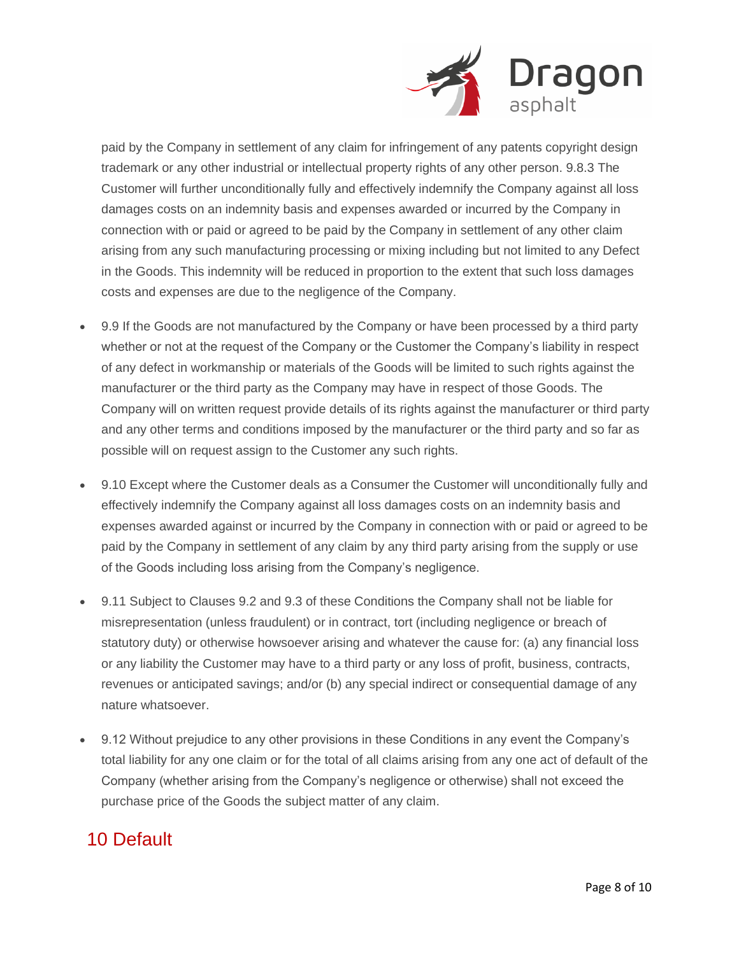

paid by the Company in settlement of any claim for infringement of any patents copyright design trademark or any other industrial or intellectual property rights of any other person. 9.8.3 The Customer will further unconditionally fully and effectively indemnify the Company against all loss damages costs on an indemnity basis and expenses awarded or incurred by the Company in connection with or paid or agreed to be paid by the Company in settlement of any other claim arising from any such manufacturing processing or mixing including but not limited to any Defect in the Goods. This indemnity will be reduced in proportion to the extent that such loss damages costs and expenses are due to the negligence of the Company.

- 9.9 If the Goods are not manufactured by the Company or have been processed by a third party whether or not at the request of the Company or the Customer the Company's liability in respect of any defect in workmanship or materials of the Goods will be limited to such rights against the manufacturer or the third party as the Company may have in respect of those Goods. The Company will on written request provide details of its rights against the manufacturer or third party and any other terms and conditions imposed by the manufacturer or the third party and so far as possible will on request assign to the Customer any such rights.
- 9.10 Except where the Customer deals as a Consumer the Customer will unconditionally fully and effectively indemnify the Company against all loss damages costs on an indemnity basis and expenses awarded against or incurred by the Company in connection with or paid or agreed to be paid by the Company in settlement of any claim by any third party arising from the supply or use of the Goods including loss arising from the Company's negligence.
- 9.11 Subject to Clauses 9.2 and 9.3 of these Conditions the Company shall not be liable for misrepresentation (unless fraudulent) or in contract, tort (including negligence or breach of statutory duty) or otherwise howsoever arising and whatever the cause for: (a) any financial loss or any liability the Customer may have to a third party or any loss of profit, business, contracts, revenues or anticipated savings; and/or (b) any special indirect or consequential damage of any nature whatsoever.
- 9.12 Without prejudice to any other provisions in these Conditions in any event the Company's total liability for any one claim or for the total of all claims arising from any one act of default of the Company (whether arising from the Company's negligence or otherwise) shall not exceed the purchase price of the Goods the subject matter of any claim.

#### 10 Default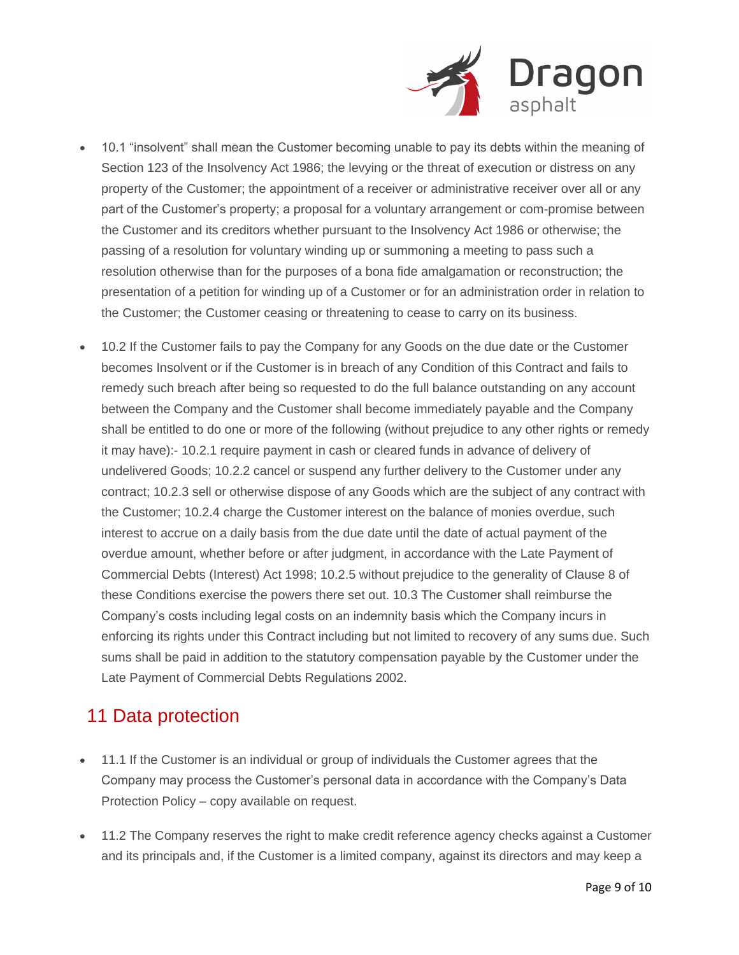

- 10.1 "insolvent" shall mean the Customer becoming unable to pay its debts within the meaning of Section 123 of the Insolvency Act 1986; the levying or the threat of execution or distress on any property of the Customer; the appointment of a receiver or administrative receiver over all or any part of the Customer's property; a proposal for a voluntary arrangement or com-promise between the Customer and its creditors whether pursuant to the Insolvency Act 1986 or otherwise; the passing of a resolution for voluntary winding up or summoning a meeting to pass such a resolution otherwise than for the purposes of a bona fide amalgamation or reconstruction; the presentation of a petition for winding up of a Customer or for an administration order in relation to the Customer; the Customer ceasing or threatening to cease to carry on its business.
- 10.2 If the Customer fails to pay the Company for any Goods on the due date or the Customer becomes Insolvent or if the Customer is in breach of any Condition of this Contract and fails to remedy such breach after being so requested to do the full balance outstanding on any account between the Company and the Customer shall become immediately payable and the Company shall be entitled to do one or more of the following (without prejudice to any other rights or remedy it may have):- 10.2.1 require payment in cash or cleared funds in advance of delivery of undelivered Goods; 10.2.2 cancel or suspend any further delivery to the Customer under any contract; 10.2.3 sell or otherwise dispose of any Goods which are the subject of any contract with the Customer; 10.2.4 charge the Customer interest on the balance of monies overdue, such interest to accrue on a daily basis from the due date until the date of actual payment of the overdue amount, whether before or after judgment, in accordance with the Late Payment of Commercial Debts (Interest) Act 1998; 10.2.5 without prejudice to the generality of Clause 8 of these Conditions exercise the powers there set out. 10.3 The Customer shall reimburse the Company's costs including legal costs on an indemnity basis which the Company incurs in enforcing its rights under this Contract including but not limited to recovery of any sums due. Such sums shall be paid in addition to the statutory compensation payable by the Customer under the Late Payment of Commercial Debts Regulations 2002.

## 11 Data protection

- 11.1 If the Customer is an individual or group of individuals the Customer agrees that the Company may process the Customer's personal data in accordance with the Company's Data Protection Policy – copy available on request.
- 11.2 The Company reserves the right to make credit reference agency checks against a Customer and its principals and, if the Customer is a limited company, against its directors and may keep a